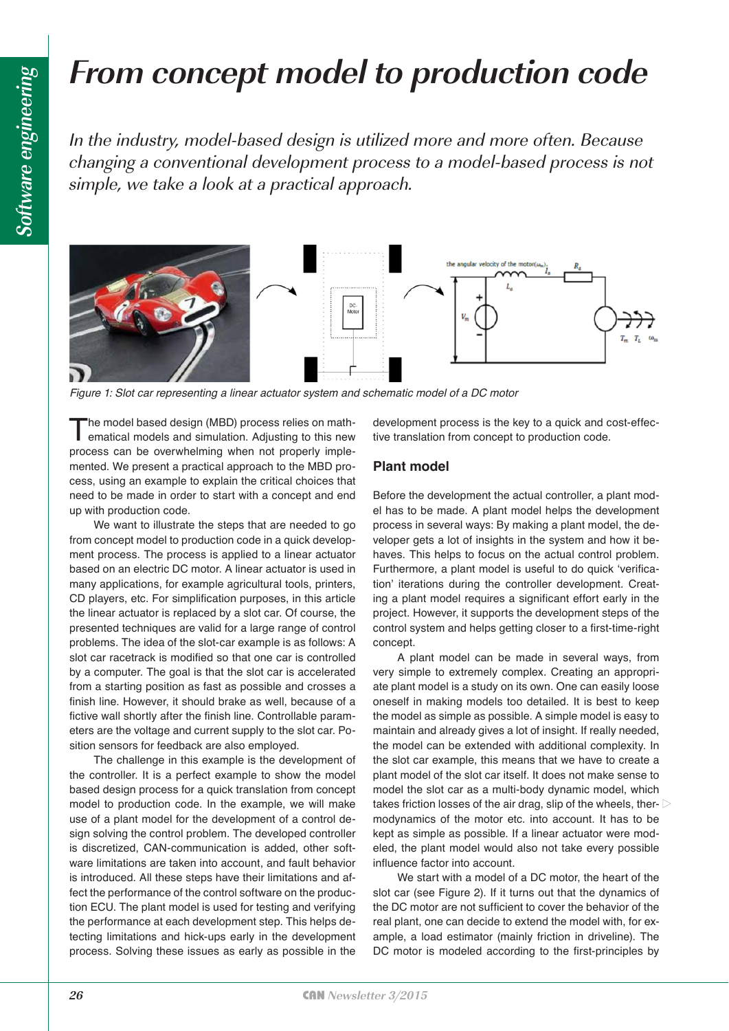# **From concept model to production code**

In the industry, model-based design is utilized more and more often. Because changing a conventional development process to a model-based process is not simple, we take a look at a practical approach.



*Figure 1: Slot car representing a linear actuator system and schematic model of a DC motor*

The model based design (MBD) process relies on math-<br>ematical models and simulation. Adjusting to this new process can be overwhelming when not properly implemented. We present a practical approach to the MBD process, using an example to explain the critical choices that need to be made in order to start with a concept and end up with production code.

We want to illustrate the steps that are needed to go from concept model to production code in a quick development process. The process is applied to a linear actuator based on an electric DC motor. A linear actuator is used in many applications, for example agricultural tools, printers, CD players, etc. For simplification purposes, in this article the linear actuator is replaced by a slot car. Of course, the presented techniques are valid for a large range of control problems. The idea of the slot-car example is as follows: A slot car racetrack is modified so that one car is controlled by a computer. The goal is that the slot car is accelerated from a starting position as fast as possible and crosses a finish line. However, it should brake as well, because of a fictive wall shortly after the finish line. Controllable parameters are the voltage and current supply to the slot car. Position sensors for feedback are also employed.

The challenge in this example is the development of the controller. It is a perfect example to show the model based design process for a quick translation from concept model to production code. In the example, we will make use of a plant model for the development of a control design solving the control problem. The developed controller is discretized, CAN-communication is added, other software limitations are taken into account, and fault behavior is introduced. All these steps have their limitations and affect the performance of the control software on the production ECU. The plant model is used for testing and verifying the performance at each development step. This helps detecting limitations and hick-ups early in the development process. Solving these issues as early as possible in the

development process is the key to a quick and cost-effective translation from concept to production code.

#### **Plant model**

Before the development the actual controller, a plant model has to be made. A plant model helps the development process in several ways: By making a plant model, the developer gets a lot of insights in the system and how it behaves. This helps to focus on the actual control problem. Furthermore, a plant model is useful to do quick 'verification' iterations during the controller development. Creating a plant model requires a significant effort early in the project. However, it supports the development steps of the control system and helps getting closer to a first-time-right concept.

A plant model can be made in several ways, from very simple to extremely complex. Creating an appropriate plant model is a study on its own. One can easily loose oneself in making models too detailed. It is best to keep the model as simple as possible. A simple model is easy to maintain and already gives a lot of insight. If really needed, the model can be extended with additional complexity. In the slot car example, this means that we have to create a plant model of the slot car itself. It does not make sense to model the slot car as a multi-body dynamic model, which takes friction losses of the air drag, slip of the wheels, thermodynamics of the motor etc. into account. It has to be kept as simple as possible. If a linear actuator were modeled, the plant model would also not take every possible influence factor into account.

We start with a model of a DC motor, the heart of the slot car (see Figure 2). If it turns out that the dynamics of the DC motor are not sufficient to cover the behavior of the real plant, one can decide to extend the model with, for example, a load estimator (mainly friction in driveline). The DC motor is modeled according to the first-principles by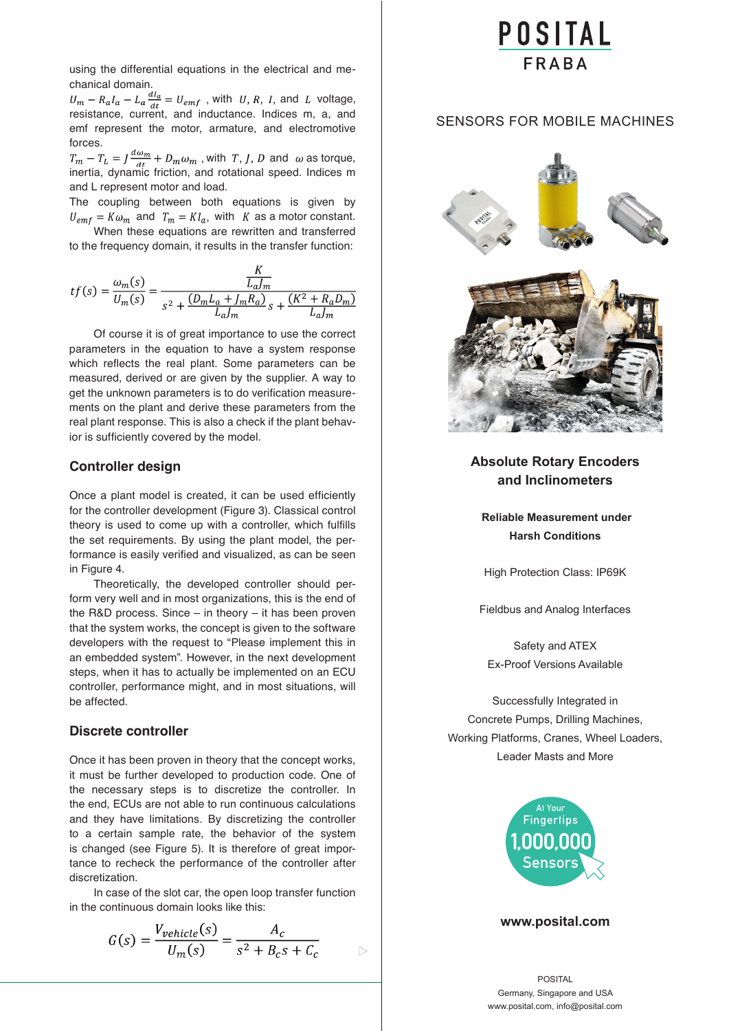using the differential equations in the electrical and mechanical domain.

 $U_m - R_a I_a - L_a \frac{u_i}{dt} = U_{emf}$ , with U, R, I, and L voltage, resistance, current, and inductance. Indices m, a, and emf represent the motor, armature, and electromotive forces. with  $U, R, I$ , and

inertia, dynamic friction, and rotational speed. Indices m and L represent motor and load. with T, J, D and  $\omega$  as torque,

The coupling between both equations is given by  $U_{emf} = K \omega_m$  and  $T_m = K I_a$ , with K as a motor constant.

When these equations are rewritten and transferred to the frequency domain, it results in the transfer function:

$$
tf(s) = \frac{\omega_m(s)}{U_m(s)} = \frac{\frac{K}{L_d/m}}{s^2 + \frac{(D_m L_a + J_m R_a)}{L_d/m} s + \frac{(K^2 + R_a D_m)}{L_d/m}}
$$

Of course it is of great importance to use the correct parameters in the equation to have a system response which reflects the real plant. Some parameters can be measured, derived or are given by the supplier. A way to get the unknown parameters is to do verification measurements on the plant and derive these parameters from the real plant response. This is also a check if the plant behavior is sufficiently covered by the model.

#### **Controller design**

Once a plant model is created, it can be used efficiently for the controller development (Figure 3). Classical control theory is used to come up with a controller, which fulfills the set requirements. By using the plant model, the performance is easily verified and visualized, as can be seen in Figure 4.

Theoretically, the developed controller should perform very well and in most organizations, this is the end of the R&D process. Since – in theory – it has been proven that the system works, the concept is given to the software developers with the request to "Please implement this in an embedded system". However, in the next development steps, when it has to actually be implemented on an ECU controller, performance might, and in most situations, will be affected.

#### **Discrete controller**

Once it has been proven in theory that the concept works, it must be further developed to production code. One of the necessary steps is to discretize the controller. In the end, ECUs are not able to run continuous calculations and they have limitations. By discretizing the controller to a certain sample rate, the behavior of the system is changed (see Figure 5). It is therefore of great importance to recheck the performance of the controller after discretization.

In case of the slot car, the open loop transfer function in the continuous domain looks like this:

$$
G(s) = \frac{V_{\text{vehicle}}(s)}{U_m(s)} = \frac{A_c}{s^2 + B_c s + C_c}
$$

# POSITAL

### [SENSORS FOR MOBILE MACHINES](http://www.posital.com)



## **Absolute Rotary Encoders and Inclinometers**

 **Reliable Measurement under Harsh Conditions**

High Protection Class: IP69K

Fieldbus and Analog Interfaces

Safety and ATEX Ex-Proof Versions Available

Successfully Integrated in Concrete Pumps, Drilling Machines, Working Platforms, Cranes, Wheel Loaders, Leader Masts and More



#### **www.posital.com**

POSITAL Germany, Singapore and USA www.posital.com, info@posital.com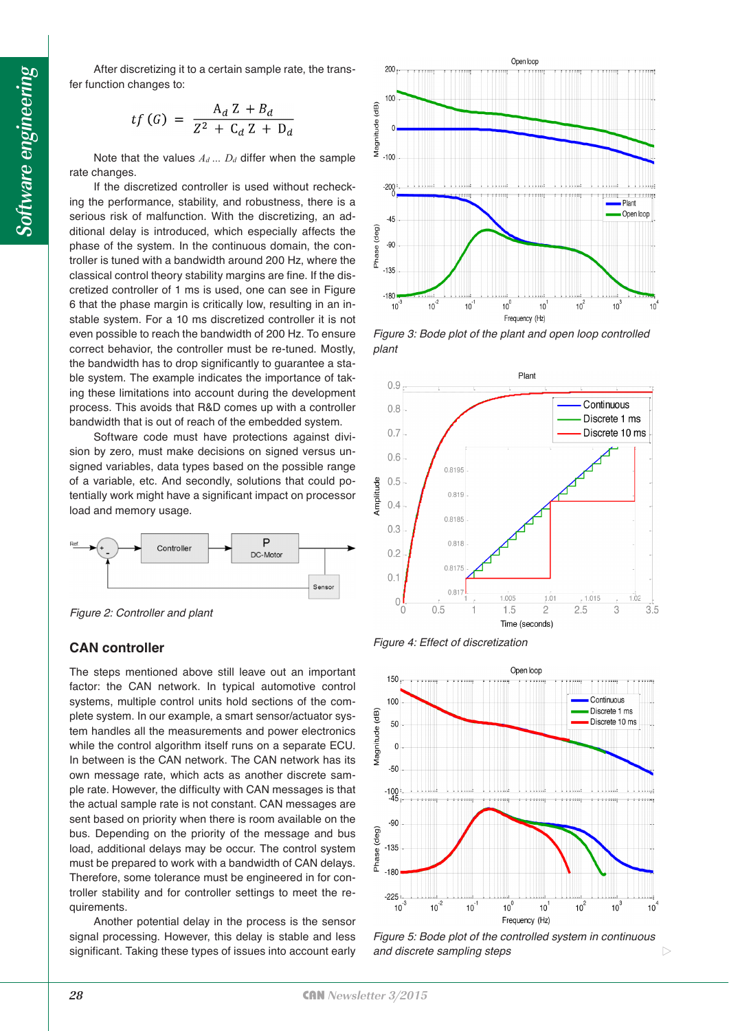After discretizing it to a certain sample rate, the transfer function changes to:

$$
tf\left(G\right) \ = \ \frac{A_d \ Z + B_d}{Z^2 \ + \ C_d \ Z \ + \ D_d}
$$

Note that the values  $A_d$  ...  $D_d$  differ when the sample rate changes.

If the discretized controller is used without rechecking the performance, stability, and robustness, there is a serious risk of malfunction. With the discretizing, an additional delay is introduced, which especially affects the phase of the system. In the continuous domain, the controller is tuned with a bandwidth around 200 Hz, where the classical control theory stability margins are fine. If the discretized controller of 1 ms is used, one can see in Figure 6 that the phase margin is critically low, resulting in an instable system. For a 10 ms discretized controller it is not even possible to reach the bandwidth of 200 Hz. To ensure correct behavior, the controller must be re-tuned. Mostly, the bandwidth has to drop significantly to guarantee a stable system. The example indicates the importance of taking these limitations into account during the development process. This avoids that R&D comes up with a controller bandwidth that is out of reach of the embedded system.

Software code must have protections against division by zero, must make decisions on signed versus unsigned variables, data types based on the possible range of a variable, etc. And secondly, solutions that could potentially work might have a significant impact on processor load and memory usage.



*Figure 2: Controller and plant*

#### **CAN controller**

The steps mentioned above still leave out an important factor: the CAN network. In typical automotive control systems, multiple control units hold sections of the complete system. In our example, a smart sensor/actuator system handles all the measurements and power electronics while the control algorithm itself runs on a separate ECU. In between is the CAN network. The CAN network has its own message rate, which acts as another discrete sample rate. However, the difficulty with CAN messages is that the actual sample rate is not constant. CAN messages are sent based on priority when there is room available on the bus. Depending on the priority of the message and bus load, additional delays may be occur. The control system must be prepared to work with a bandwidth of CAN delays. Therefore, some tolerance must be engineered in for controller stability and for controller settings to meet the requirements.

Another potential delay in the process is the sensor signal processing. However, this delay is stable and less significant. Taking these types of issues into account early



*Figure 3: Bode plot of the plant and open loop controlled plant*



*Figure 4: Effect of discretization*



*Figure 5: Bode plot of the controlled system in continuous and discrete sampling steps*

 $\triangleright$